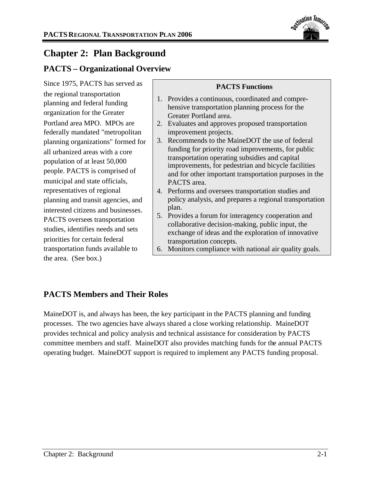

# **Chapter 2: Plan Background**

## **PACTS – Organizational Overview**

Since 1975, PACTS has served as the regional transportation planning and federal funding organization for the Greater Portland area MPO. MPOs are federally mandated "metropolitan planning organizations" formed for all urbanized areas with a core population of at least 50,000 people. PACTS is comprised of municipal and state officials, representatives of regional planning and transit agencies, and interested citizens and businesses. PACTS oversees transportation studies, identifies needs and sets priorities for certain federal transportation funds available to the area. (See box.)

## **PACTS Functions**

- 1. Provides a continuous, coordinated and comprehensive transportation planning process for the Greater Portland area.
- 2. Evaluates and approves proposed transportation improvement projects.
- 3. Recommends to the MaineDOT the use of federal funding for priority road improvements, for public transportation operating subsidies and capital improvements, for pedestrian and bicycle facilities and for other important transportation purposes in the PACTS area.
- 4. Performs and oversees transportation studies and policy analysis, and prepares a regional transportation plan.
- 5. Provides a forum for interagency cooperation and collaborative decision-making, public input, the exchange of ideas and the exploration of innovative transportation concepts.
- 6. Monitors compliance with national air quality goals.

## **PACTS Members and Their Roles**

MaineDOT is, and always has been, the key participant in the PACTS planning and funding processes. The two agencies have always shared a close working relationship. MaineDOT provides technical and policy analysis and technical assistance for consideration by PACTS committee members and staff. MaineDOT also provides matching funds for the annual PACTS operating budget. MaineDOT support is required to implement any PACTS funding proposal.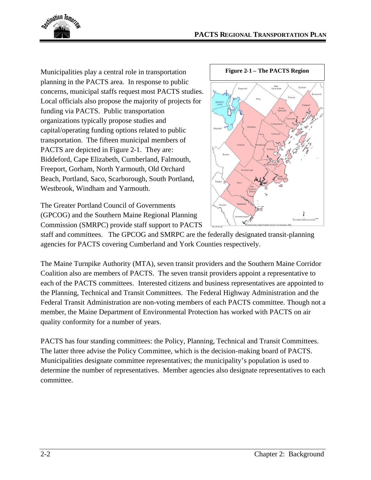

Municipalities play a central role in transportation planning in the PACTS area. In response to public concerns, municipal staffs request most PACTS studies. Local officials also propose the majority of projects for funding via PACTS. Public transportation organizations typically propose studies and capital/operating funding options related to public transportation. The fifteen municipal members of PACTS are depicted in Figure 2-1. They are: Biddeford, Cape Elizabeth, Cumberland, Falmouth, Freeport, Gorham, North Yarmouth, Old Orchard Beach, Portland, Saco, Scarborough, South Portland, Westbrook, Windham and Yarmouth.

The Greater Portland Council of Governments (GPCOG) and the Southern Maine Regional Planning Commission (SMRPC) provide staff support to PACTS



staff and committees. The GPCOG and SMRPC are the federally designated transit-planning agencies for PACTS covering Cumberland and York Counties respectively.

The Maine Turnpike Authority (MTA), seven transit providers and the Southern Maine Corridor Coalition also are members of PACTS. The seven transit providers appoint a representative to each of the PACTS committees. Interested citizens and business representatives are appointed to the Planning, Technical and Transit Committees. The Federal Highway Administration and the Federal Transit Administration are non-voting members of each PACTS committee. Though not a member, the Maine Department of Environmental Protection has worked with PACTS on air quality conformity for a number of years.

PACTS has four standing committees: the Policy, Planning, Technical and Transit Committees. The latter three advise the Policy Committee, which is the decision-making board of PACTS. Municipalities designate committee representatives; the municipality's population is used to determine the number of representatives. Member agencies also designate representatives to each committee.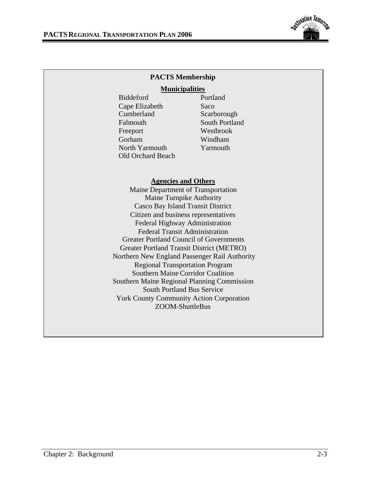

### **PACTS Membership**

#### **Municipalities**

Biddeford Portland Cape Elizabeth Saco Cumberland Scarborough Falmouth South Portland Freeport Westbrook Gorham Windham North Yarmouth Yarmouth Old Orchard Beach

#### **Agencies and Others**

Maine Department of Transportation Maine Turnpike Authority Casco Bay Island Transit District Citizen and business representatives Federal Highway Administration Federal Transit Administration Greater Portland Council of Governments Greater Portland Transit District (METRO) Northern New England Passenger Rail Authority Regional Transportation Program Southern Maine Corridor Coalition Southern Maine Regional Planning Commission South Portland Bus Service York County Community Action Corporation ZOOM-ShuttleBus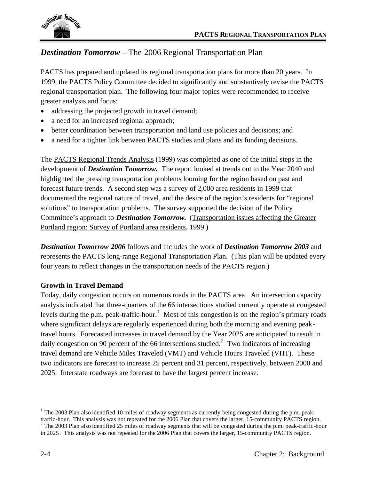

## *Destination Tomorrow* – The 2006 Regional Transportation Plan

PACTS has prepared and updated its regional transportation plans for more than 20 years. In 1999, the PACTS Policy Committee decided to significantly and substantively revise the PACTS regional transportation plan. The following four major topics were recommended to receive greater analysis and focus:

- addressing the projected growth in travel demand;
- a need for an increased regional approach;
- better coordination between transportation and land use policies and decisions; and
- a need for a tighter link between PACTS studies and plans and its funding decisions.

The PACTS Regional Trends Analysis (1999) was completed as one of the initial steps in the development of *Destination Tomorrow.* The report looked at trends out to the Year 2040 and highlighted the pressing transportation problems looming for the region based on past and forecast future trends. A second step was a survey of 2,000 area residents in 1999 that documented the regional nature of travel, and the desire of the region's residents for "regional solutions" to transportation problems. The survey supported the decision of the Policy Committee's approach to *Destination Tomorrow.* (Transportation issues affecting the Greater Portland region: Survey of Portland area residents, 1999.)

*Destination Tomorrow 2006* follows and includes the work of *Destination Tomorrow 2003* and represents the PACTS long-range Regional Transportation Plan. (This plan will be updated every four years to reflect changes in the transportation needs of the PACTS region.)

### **Growth in Travel Demand**

Today, daily congestion occurs on numerous roads in the PACTS area. An intersection capacity analysis indicated that three-quarters of the 66 intersections studied currently operate at congested levels during the p.m. peak-traffic-hour.<sup>1</sup> Most of this congestion is on the region's primary roads where significant delays are regularly experienced during both the morning and evening peaktravel hours. Forecasted increases in travel demand by the Year 2025 are anticipated to result in daily congestion on 90 percent of the 66 intersections studied.<sup>2</sup> Two indicators of increasing travel demand are Vehicle Miles Traveled (VMT) and Vehicle Hours Traveled (VHT). These two indicators are forecast to increase 25 percent and 31 percent, respectively, between 2000 and 2025. Interstate roadways are forecast to have the largest percent increase.

 $1$  The 2003 Plan also identified 10 miles of roadway segments as currently being congested during the p.m. peaktraffic-hour. This analysis was not repeated for the 2006 Plan that covers the larger, 15-community PACTS region.  $2$  The 2003 Plan also identified 25 miles of roadway segments that will be congested during the p.m. peak-traffic-hour in 2025. This analysis was not repeated for the 2006 Plan that covers the larger, 15-community PACTS region.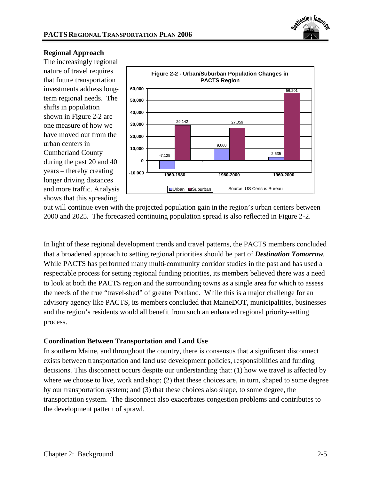

#### **Regional Approach**

The increasingly regional nature of travel requires that future transportation investments address longterm regional needs. The shifts in population shown in Figure 2-2 are one measure of how we have moved out from the urban centers in Cumberland County during the past 20 and 40 years – thereby creating longer driving distances and more traffic. Analysis shows that this spreading



out will continue even with the projected population gain in the region's urban centers between 2000 and 2025. The forecasted continuing population spread is also reflected in Figure 2-2.

In light of these regional development trends and travel patterns, the PACTS members concluded that a broadened approach to setting regional priorities should be part of *Destination Tomorrow*. While PACTS has performed many multi-community corridor studies in the past and has used a respectable process for setting regional funding priorities, its members believed there was a need to look at both the PACTS region and the surrounding towns as a single area for which to assess the needs of the true "travel-shed" of greater Portland. While this is a major challenge for an advisory agency like PACTS, its members concluded that MaineDOT, municipalities, businesses and the region's residents would all benefit from such an enhanced regional priority-setting process.

### **Coordination Between Transportation and Land Use**

In southern Maine, and throughout the country, there is consensus that a significant disconnect exists between transportation and land use development policies, responsibilities and funding decisions. This disconnect occurs despite our understanding that: (1) how we travel is affected by where we choose to live, work and shop; (2) that these choices are, in turn, shaped to some degree by our transportation system; and (3) that these choices also shape, to some degree, the transportation system. The disconnect also exacerbates congestion problems and contributes to the development pattern of sprawl.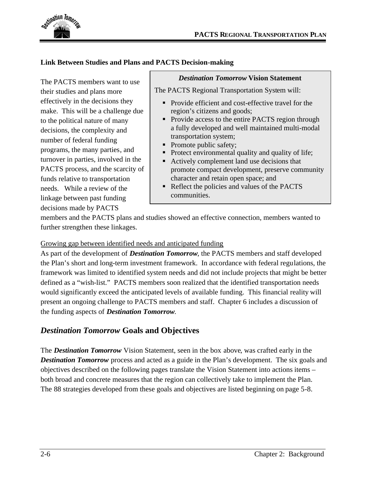

### **Link Between Studies and Plans and PACTS Decision-making**

The PACTS members want to use their studies and plans more effectively in the decisions they make. This will be a challenge due to the political nature of many decisions, the complexity and number of federal funding programs, the many parties, and turnover in parties, involved in the PACTS process, and the scarcity of funds relative to transportation needs. While a review of the linkage between past funding decisions made by PACTS

#### *Destination Tomorrow* **Vision Statement**

The PACTS Regional Transportation System will:

- Provide efficient and cost-effective travel for the region's citizens and goods;
- Provide access to the entire PACTS region through a fully developed and well maintained multi-modal transportation system;
- Promote public safety;
- Protect environmental quality and quality of life;
- Actively complement land use decisions that promote compact development, preserve community character and retain open space; and
- Reflect the policies and values of the PACTS communities.

members and the PACTS plans and studies showed an effective connection, members wanted to further strengthen these linkages.

#### Growing gap between identified needs and anticipated funding

As part of the development of *Destination Tomorrow*, the PACTS members and staff developed the Plan's short and long-term investment framework. In accordance with federal regulations, the framework was limited to identified system needs and did not include projects that might be better defined as a "wish-list." PACTS members soon realized that the identified transportation needs would significantly exceed the anticipated levels of available funding. This financial reality will present an ongoing challenge to PACTS members and staff. Chapter 6 includes a discussion of the funding aspects of *Destination Tomorrow*.

## *Destination Tomorrow* **Goals and Objectives**

The *Destination Tomorrow* Vision Statement, seen in the box above, was crafted early in the **Destination Tomorrow** process and acted as a guide in the Plan's development. The six goals and objectives described on the following pages translate the Vision Statement into actions items – both broad and concrete measures that the region can collectively take to implement the Plan. The 88 strategies developed from these goals and objectives are listed beginning on page 5-8.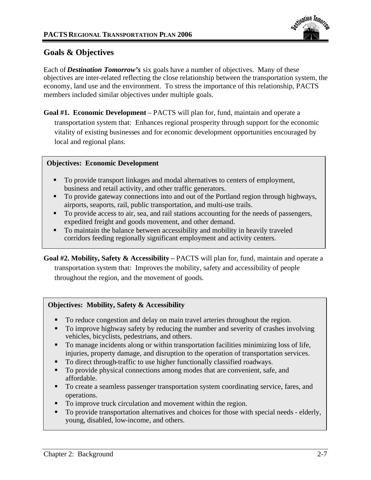

## **Goals & Objectives**

Each of *Destination Tomorrow's* six goals have a number of objectives. Many of these objectives are inter-related reflecting the close relationship between the transportation system, the economy, land use and the environment. To stress the importance of this relationship, PACTS members included similar objectives under multiple goals.

**Goal #1. Economic Development** – PACTS will plan for, fund, maintain and operate a transportation system that: Enhances regional prosperity through support for the economic vitality of existing businesses and for economic development opportunities encouraged by local and regional plans.

## **Objectives: Economic Development**

- To provide transport linkages and modal alternatives to centers of employment, business and retail activity, and other traffic generators.
- To provide gateway connections into and out of the Portland region through highways, airports, seaports, rail, public transportation, and multi-use trails.
- To provide access to air, sea, and rail stations accounting for the needs of passengers, expedited freight and goods movement, and other demand.
- To maintain the balance between accessibility and mobility in heavily traveled corridors feeding regionally significant employment and activity centers.

**Goal #2. Mobility, Safety & Accessibility –** PACTS will plan for, fund, maintain and operate a transportation system that: Improves the mobility, safety and accessibility of people throughout the region, and the movement of goods.

## **Objectives: Mobility, Safety & Accessibility**

- To reduce congestion and delay on main travel arteries throughout the region.
- To improve highway safety by reducing the number and severity of crashes involving vehicles, bicyclists, pedestrians, and others.
- To manage incidents along or within transportation facilities minimizing loss of life, injuries, property damage, and disruption to the operation of transportation services.
- To direct through-traffic to use higher functionally classified roadways.
- To provide physical connections among modes that are convenient, safe, and affordable.
- To create a seamless passenger transportation system coordinating service, fares, and operations.
- To improve truck circulation and movement within the region.
- To provide transportation alternatives and choices for those with special needs elderly, young, disabled, low-income, and others.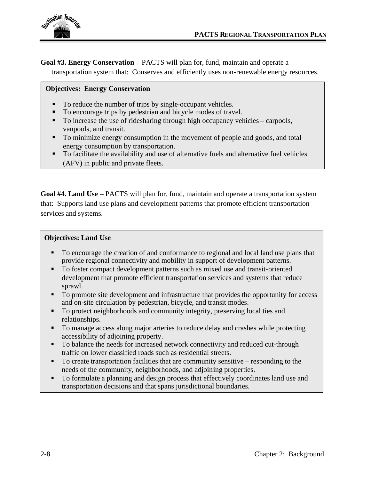

**Goal #3. Energy Conservation** – PACTS will plan for, fund, maintain and operate a transportation system that: Conserves and efficiently uses non-renewable energy resources.

### **Objectives: Energy Conservation**

- To reduce the number of trips by single-occupant vehicles.
- To encourage trips by pedestrian and bicycle modes of travel.
- To increase the use of ridesharing through high occupancy vehicles carpools, vanpools, and transit.
- To minimize energy consumption in the movement of people and goods, and total energy consumption by transportation.
- To facilitate the availability and use of alternative fuels and alternative fuel vehicles (AFV) in public and private fleets.

**Goal #4. Land Use** – PACTS will plan for, fund, maintain and operate a transportation system that: Supports land use plans and development patterns that promote efficient transportation services and systems.

#### **Objectives: Land Use**

- To encourage the creation of and conformance to regional and local land use plans that provide regional connectivity and mobility in support of development patterns.
- To foster compact development patterns such as mixed use and transit-oriented development that promote efficient transportation services and systems that reduce sprawl.
- To promote site development and infrastructure that provides the opportunity for access and on-site circulation by pedestrian, bicycle, and transit modes.
- To protect neighborhoods and community integrity, preserving local ties and relationships.
- To manage access along major arteries to reduce delay and crashes while protecting accessibility of adjoining property.
- To balance the needs for increased network connectivity and reduced cut-through traffic on lower classified roads such as residential streets.
- To create transportation facilities that are community sensitive responding to the needs of the community, neighborhoods, and adjoining properties.
- To formulate a planning and design process that effectively coordinates land use and transportation decisions and that spans jurisdictional boundaries.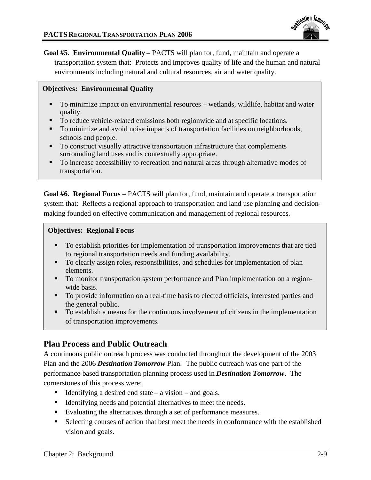**Goal #5. Environmental Quality –** PACTS will plan for, fund, maintain and operate a transportation system that: Protects and improves quality of life and the human and natural environments including natural and cultural resources, air and water quality.

### **Objectives: Environmental Quality**

- To minimize impact on environmental resources **–** wetlands, wildlife, habitat and water quality.
- To reduce vehicle-related emissions both regionwide and at specific locations.
- To minimize and avoid noise impacts of transportation facilities on neighborhoods, schools and people.
- To construct visually attractive transportation infrastructure that complements surrounding land uses and is contextually appropriate.
- To increase accessibility to recreation and natural areas through alternative modes of transportation.

**Goal #6. Regional Focus** – PACTS will plan for, fund, maintain and operate a transportation system that: Reflects a regional approach to transportation and land use planning and decisionmaking founded on effective communication and management of regional resources.

### **Objectives: Regional Focus**

- To establish priorities for implementation of transportation improvements that are tied to regional transportation needs and funding availability.
- To clearly assign roles, responsibilities, and schedules for implementation of plan elements.
- To monitor transportation system performance and Plan implementation on a regionwide basis.
- To provide information on a real-time basis to elected officials, interested parties and the general public.
- To establish a means for the continuous involvement of citizens in the implementation of transportation improvements.

## **Plan Process and Public Outreach**

A continuous public outreach process was conducted throughout the development of the 2003 Plan and the 2006 *Destination Tomorrow* Plan. The public outreach was one part of the performance-based transportation planning process used in *Destination Tomorrow*. The cornerstones of this process were:

- Identifying a desired end state a vision and goals.
- Identifying needs and potential alternatives to meet the needs.
- Evaluating the alternatives through a set of performance measures.
- Selecting courses of action that best meet the needs in conformance with the established vision and goals.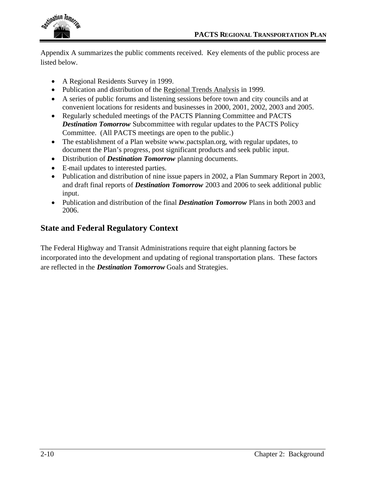

Appendix A summarizes the public comments received. Key elements of the public process are listed below.

- A Regional Residents Survey in 1999.
- Publication and distribution of the <u>Regional Trends Analysis</u> in 1999.
- A series of public forums and listening sessions before town and city councils and at convenient locations for residents and businesses in 2000, 2001, 2002, 2003 and 2005.
- Regularly scheduled meetings of the PACTS Planning Committee and PACTS *Destination Tomorrow* Subcommittee with regular updates to the PACTS Policy Committee. (All PACTS meetings are open to the public.)
- The establishment of a Plan website www.pactsplan.org, with regular updates, to document the Plan's progress, post significant products and seek public input.
- Distribution of *Destination Tomorrow* planning documents.
- E-mail updates to interested parties.
- Publication and distribution of nine issue papers in 2002, a Plan Summary Report in 2003, and draft final reports of *Destination Tomorrow* 2003 and 2006 to seek additional public input.
- Publication and distribution of the final *Destination Tomorrow* Plans in both 2003 and 2006.

## **State and Federal Regulatory Context**

The Federal Highway and Transit Administrations require that eight planning factors be incorporated into the development and updating of regional transportation plans. These factors are reflected in the *Destination Tomorrow* Goals and Strategies.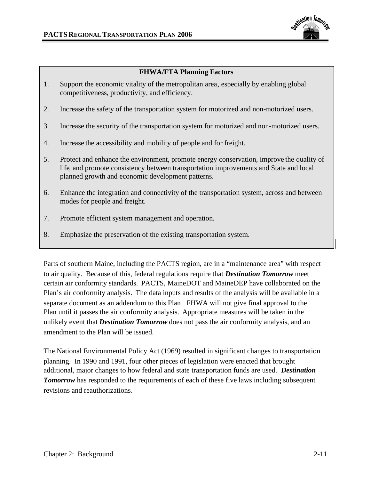

### **FHWA/FTA Planning Factors**

- 1. Support the economic vitality of the metropolitan area, especially by enabling global competitiveness, productivity, and efficiency.
- 2. Increase the safety of the transportation system for motorized and non-motorized users.
- 3. Increase the security of the transportation system for motorized and non-motorized users.
- 4. Increase the accessibility and mobility of people and for freight.
- 5. Protect and enhance the environment, promote energy conservation, improve the quality of life, and promote consistency between transportation improvements and State and local planned growth and economic development patterns.
- 6. Enhance the integration and connectivity of the transportation system, across and between modes for people and freight.
- 7. Promote efficient system management and operation.
- 8. Emphasize the preservation of the existing transportation system.

Parts of southern Maine, including the PACTS region, are in a "maintenance area" with respect to air quality. Because of this, federal regulations require that *Destination Tomorrow* meet certain air conformity standards. PACTS, MaineDOT and MaineDEP have collaborated on the Plan's air conformity analysis. The data inputs and results of the analysis will be available in a separate document as an addendum to this Plan. FHWA will not give final approval to the Plan until it passes the air conformity analysis. Appropriate measures will be taken in the unlikely event that *Destination Tomorrow* does not pass the air conformity analysis, and an amendment to the Plan will be issued.

The National Environmental Policy Act (1969) resulted in significant changes to transportation planning. In 1990 and 1991, four other pieces of legislation were enacted that brought additional, major changes to how federal and state transportation funds are used. *Destination* **Tomorrow** has responded to the requirements of each of these five laws including subsequent revisions and reauthorizations.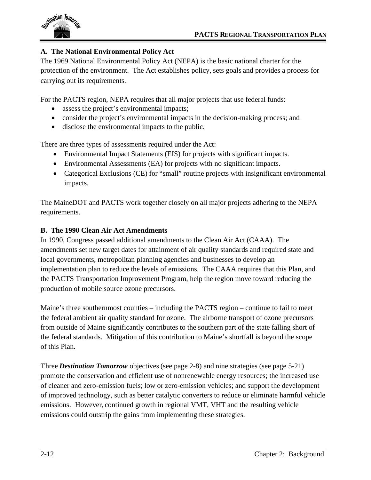

## **A. The National Environmental Policy Act**

The 1969 National Environmental Policy Act (NEPA) is the basic national charter for the protection of the environment. The Act establishes policy, sets goals and provides a process for carrying out its requirements.

For the PACTS region, NEPA requires that all major projects that use federal funds:

- assess the project's environmental impacts;
- consider the project's environmental impacts in the decision-making process; and
- disclose the environmental impacts to the public.

There are three types of assessments required under the Act:

- Environmental Impact Statements (EIS) for projects with significant impacts.
- Environmental Assessments (EA) for projects with no significant impacts.
- Categorical Exclusions (CE) for "small" routine projects with insignificant environmental impacts.

The MaineDOT and PACTS work together closely on all major projects adhering to the NEPA requirements.

## **B. The 1990 Clean Air Act Amendments**

In 1990, Congress passed additional amendments to the Clean Air Act (CAAA). The amendments set new target dates for attainment of air quality standards and required state and local governments, metropolitan planning agencies and businesses to develop an implementation plan to reduce the levels of emissions. The CAAA requires that this Plan, and the PACTS Transportation Improvement Program, help the region move toward reducing the production of mobile source ozone precursors.

Maine's three southernmost counties – including the PACTS region – continue to fail to meet the federal ambient air quality standard for ozone. The airborne transport of ozone precursors from outside of Maine significantly contributes to the southern part of the state falling short of the federal standards. Mitigation of this contribution to Maine's shortfall is beyond the scope of this Plan.

Three *Destination Tomorrow* objectives (see page 2-8) and nine strategies (see page 5-21) promote the conservation and efficient use of nonrenewable energy resources; the increased use of cleaner and zero-emission fuels; low or zero-emission vehicles; and support the development of improved technology, such as better catalytic converters to reduce or eliminate harmful vehicle emissions. However, continued growth in regional VMT, VHT and the resulting vehicle emissions could outstrip the gains from implementing these strategies.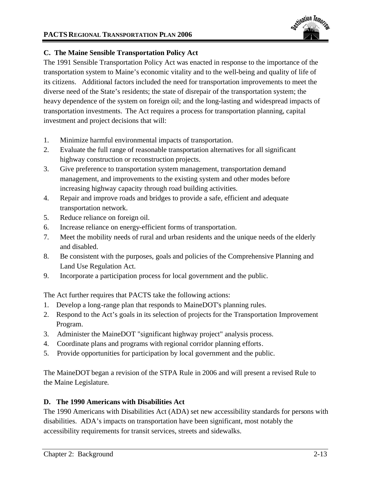

## **C. The Maine Sensible Transportation Policy Act**

The 1991 Sensible Transportation Policy Act was enacted in response to the importance of the transportation system to Maine's economic vitality and to the well-being and quality of life of its citizens. Additional factors included the need for transportation improvements to meet the diverse need of the State's residents; the state of disrepair of the transportation system; the heavy dependence of the system on foreign oil; and the long-lasting and widespread impacts of transportation investments. The Act requires a process for transportation planning, capital investment and project decisions that will:

- 1. Minimize harmful environmental impacts of transportation.
- 2. Evaluate the full range of reasonable transportation alternatives for all significant highway construction or reconstruction projects.
- 3. Give preference to transportation system management, transportation demand management, and improvements to the existing system and other modes before increasing highway capacity through road building activities.
- 4. Repair and improve roads and bridges to provide a safe, efficient and adequate transportation network.
- 5. Reduce reliance on foreign oil.
- 6. Increase reliance on energy-efficient forms of transportation.
- 7. Meet the mobility needs of rural and urban residents and the unique needs of the elderly and disabled.
- 8. Be consistent with the purposes, goals and policies of the Comprehensive Planning and Land Use Regulation Act.
- 9. Incorporate a participation process for local government and the public.

The Act further requires that PACTS take the following actions:

- 1. Develop a long-range plan that responds to MaineDOT's planning rules.
- 2. Respond to the Act's goals in its selection of projects for the Transportation Improvement Program.
- 3. Administer the MaineDOT "significant highway project" analysis process.
- 4. Coordinate plans and programs with regional corridor planning efforts.
- 5. Provide opportunities for participation by local government and the public.

The MaineDOT began a revision of the STPA Rule in 2006 and will present a revised Rule to the Maine Legislature.

### **D. The 1990 Americans with Disabilities Act**

The 1990 Americans with Disabilities Act (ADA) set new accessibility standards for persons with disabilities. ADA's impacts on transportation have been significant, most notably the accessibility requirements for transit services, streets and sidewalks.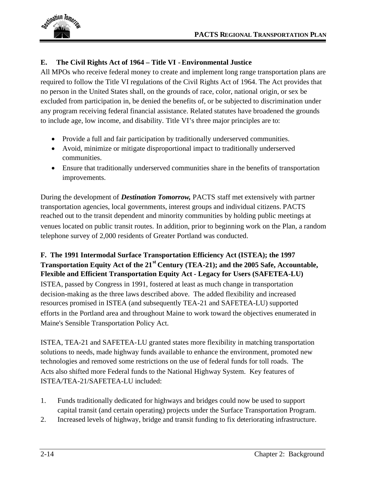

## **E. The Civil Rights Act of 1964 – Title VI - Environmental Justice**

All MPOs who receive federal money to create and implement long range transportation plans are required to follow the Title VI regulations of the Civil Rights Act of 1964. The Act provides that no person in the United States shall, on the grounds of race, color, national origin, or sex be excluded from participation in, be denied the benefits of, or be subjected to discrimination under any program receiving federal financial assistance. Related statutes have broadened the grounds to include age, low income, and disability. Title VI's three major principles are to:

- Provide a full and fair participation by traditionally underserved communities.
- Avoid, minimize or mitigate disproportional impact to traditionally underserved communities.
- Ensure that traditionally underserved communities share in the benefits of transportation improvements.

During the development of *Destination Tomorrow,* PACTS staff met extensively with partner transportation agencies, local governments, interest groups and individual citizens. PACTS reached out to the transit dependent and minority communities by holding public meetings at venues located on public transit routes. In addition, prior to beginning work on the Plan, a random telephone survey of 2,000 residents of Greater Portland was conducted.

## **F. The 1991 Intermodal Surface Transportation Efficiency Act (ISTEA); the 1997 Transportation Equity Act of the 21st Century (TEA-21); and the 2005 Safe, Accountable, Flexible and Efficient Transportation Equity Act - Legacy for Users (SAFETEA-LU)**

ISTEA, passed by Congress in 1991, fostered at least as much change in transportation decision-making as the three laws described above. The added flexibility and increased resources promised in ISTEA (and subsequently TEA-21 and SAFETEA-LU) supported efforts in the Portland area and throughout Maine to work toward the objectives enumerated in Maine's Sensible Transportation Policy Act.

ISTEA, TEA-21 and SAFETEA-LU granted states more flexibility in matching transportation solutions to needs, made highway funds available to enhance the environment, promoted new technologies and removed some restrictions on the use of federal funds for toll roads. The Acts also shifted more Federal funds to the National Highway System. Key features of ISTEA/TEA-21/SAFETEA-LU included:

- 1. Funds traditionally dedicated for highways and bridges could now be used to support capital transit (and certain operating) projects under the Surface Transportation Program.
- 2. Increased levels of highway, bridge and transit funding to fix deteriorating infrastructure.